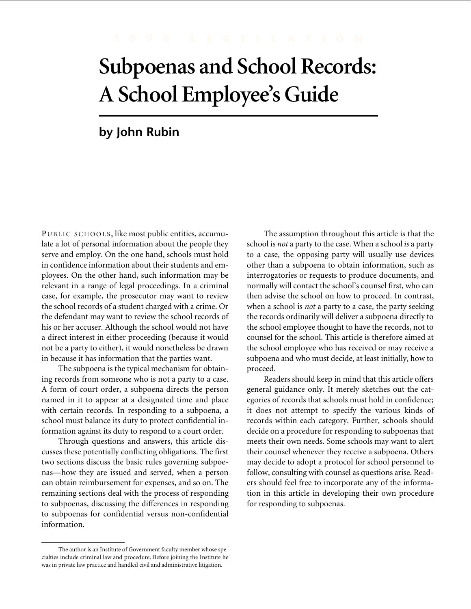# **Subpoenas and School Records: A School Employee's Guide**

# **by John Rubin**

PUBLIC SCHOOLS, like most public entities, accumulate a lot of personal information about the people they serve and employ. On the one hand, schools must hold in confidence information about their students and employees. On the other hand, such information may be relevant in a range of legal proceedings. In a criminal case, for example, the prosecutor may want to review the school records of a student charged with a crime. Or the defendant may want to review the school records of his or her accuser. Although the school would not have a direct interest in either proceeding (because it would not be a party to either), it would nonetheless be drawn in because it has information that the parties want.

The subpoena is the typical mechanism for obtaining records from someone who is not a party to a case. A form of court order, a subpoena directs the person named in it to appear at a designated time and place with certain records. In responding to a subpoena, a school must balance its duty to protect confidential information against its duty to respond to a court order.

Through questions and answers, this article discusses these potentially conflicting obligations. The first two sections discuss the basic rules governing subpoenas—how they are issued and served, when a person can obtain reimbursement for expenses, and so on. The remaining sections deal with the process of responding to subpoenas, discussing the differences in responding to subpoenas for confidential versus non-confidential information.

The assumption throughout this article is that the school is *not* a party to the case. When a school *is* a party to a case, the opposing party will usually use devices other than a subpoena to obtain information, such as interrogatories or requests to produce documents, and normally will contact the school's counsel first, who can then advise the school on how to proceed. In contrast, when a school is *not* a party to a case, the party seeking the records ordinarily will deliver a subpoena directly to the school employee thought to have the records, not to counsel for the school. This article is therefore aimed at the school employee who has received or may receive a subpoena and who must decide, at least initially, how to proceed.

Readers should keep in mind that this article offers general guidance only. It merely sketches out the categories of records that schools must hold in confidence; it does not attempt to specify the various kinds of records within each category. Further, schools should decide on a procedure for responding to subpoenas that meets their own needs. Some schools may want to alert their counsel whenever they receive a subpoena. Others may decide to adopt a protocol for school personnel to follow, consulting with counsel as questions arise. Readers should feel free to incorporate any of the information in this article in developing their own procedure for responding to subpoenas.

The author is an Institute of Government faculty member whose specialties include criminal law and procedure. Before joining the Institute he was in private law practice and handled civil and administrative litigation.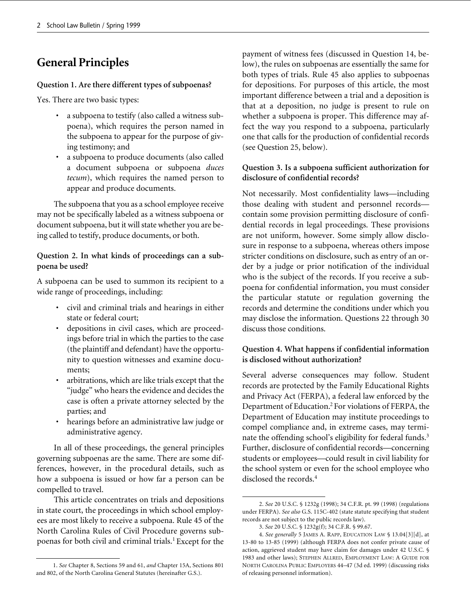# **General Principles**

### **Question 1. Are there different types of subpoenas?**

Yes. There are two basic types:

- a subpoena to testify (also called a witness subpoena), which requires the person named in the subpoena to appear for the purpose of giving testimony; and
- a subpoena to produce documents (also called a document subpoena or subpoena *duces tecum*), which requires the named person to appear and produce documents.

The subpoena that you as a school employee receive may not be specifically labeled as a witness subpoena or document subpoena, but it will state whether you are being called to testify, produce documents, or both.

### **Question 2. In what kinds of proceedings can a subpoena be used?**

A subpoena can be used to summon its recipient to a wide range of proceedings, including:

- civil and criminal trials and hearings in either state or federal court;
- depositions in civil cases, which are proceedings before trial in which the parties to the case (the plaintiff and defendant) have the opportunity to question witnesses and examine documents;
- arbitrations, which are like trials except that the "judge" who hears the evidence and decides the case is often a private attorney selected by the parties; and
- hearings before an administrative law judge or administrative agency.

In all of these proceedings, the general principles governing subpoenas are the same. There are some differences, however, in the procedural details, such as how a subpoena is issued or how far a person can be compelled to travel.

This article concentrates on trials and depositions in state court, the proceedings in which school employees are most likely to receive a subpoena. Rule 45 of the North Carolina Rules of Civil Procedure governs subpoenas for both civil and criminal trials.<sup>1</sup> Except for the

payment of witness fees (discussed in Question 14, below), the rules on subpoenas are essentially the same for both types of trials. Rule 45 also applies to subpoenas for depositions. For purposes of this article, the most important difference between a trial and a deposition is that at a deposition, no judge is present to rule on whether a subpoena is proper. This difference may affect the way you respond to a subpoena, particularly one that calls for the production of confidential records (see Question 25, below).

### **Question 3. Is a subpoena sufficient authorization for disclosure of confidential records?**

Not necessarily. Most confidentiality laws—including those dealing with student and personnel records contain some provision permitting disclosure of confidential records in legal proceedings. These provisions are not uniform, however. Some simply allow disclosure in response to a subpoena, whereas others impose stricter conditions on disclosure, such as entry of an order by a judge or prior notification of the individual who is the subject of the records. If you receive a subpoena for confidential information, you must consider the particular statute or regulation governing the records and determine the conditions under which you may disclose the information. Questions 22 through 30 discuss those conditions.

### **Question 4. What happens if confidential information is disclosed without authorization?**

Several adverse consequences may follow. Student records are protected by the Family Educational Rights and Privacy Act (FERPA), a federal law enforced by the Department of Education.2 For violations of FERPA, the Department of Education may institute proceedings to compel compliance and, in extreme cases, may terminate the offending school's eligibility for federal funds.<sup>3</sup> Further, disclosure of confidential records—concerning students or employees—could result in civil liability for the school system or even for the school employee who disclosed the records.4

<sup>1.</sup> *See* Chapter 8, Sections 59 and 61, *and* Chapter 15A, Sections 801 and 802, of the North Carolina General Statutes (hereinafter G.S.).

<sup>2.</sup> *See* 20 U.S.C. § 1232g (1998); 34 C.F.R. pt. 99 (1998) (regulations under FERPA). *See also* G.S. 115C-402 (state statute specifying that student records are not subject to the public records law).

<sup>3.</sup> *See* 20 U.S.C. § 1232g(f); 34 C.F.R. § 99.67.

<sup>4.</sup> *See generally* 5 JAMES A. RAPP, EDUCATION LAW § 13.04[3][d], at 13-80 to 13-85 (1999) (although FERPA does not confer private cause of action, aggrieved student may have claim for damages under 42 U.S.C. § 1983 and other laws); STEPHEN ALLRED, EMPLOYMENT LAW: A GUIDE FOR NORTH CAROLINA PUBLIC EMPLOYERS 44–47 (3d ed. 1999) (discussing risks of releasing personnel information).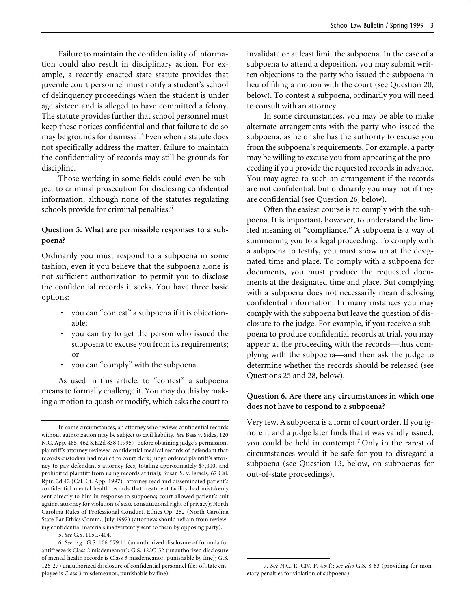Failure to maintain the confidentiality of information could also result in disciplinary action. For example, a recently enacted state statute provides that juvenile court personnel must notify a student's school of delinquency proceedings when the student is under age sixteen and is alleged to have committed a felony. The statute provides further that school personnel must keep these notices confidential and that failure to do so may be grounds for dismissal.<sup>5</sup> Even when a statute does not specifically address the matter, failure to maintain the confidentiality of records may still be grounds for discipline.

Those working in some fields could even be subject to criminal prosecution for disclosing confidential information, although none of the statutes regulating schools provide for criminal penalties.<sup>6</sup>

### **Question 5. What are permissible responses to a subpoena?**

Ordinarily you must respond to a subpoena in some fashion, even if you believe that the subpoena alone is not sufficient authorization to permit you to disclose the confidential records it seeks. You have three basic options:

- you can "contest" a subpoena if it is objectionable;
- you can try to get the person who issued the subpoena to excuse you from its requirements; or
- you can "comply" with the subpoena.

As used in this article, to "contest" a subpoena means to formally challenge it. You may do this by making a motion to quash or modify, which asks the court to

5. *See* G.S. 115C-404.

invalidate or at least limit the subpoena. In the case of a subpoena to attend a deposition, you may submit written objections to the party who issued the subpoena in lieu of filing a motion with the court (see Question 20, below). To contest a subpoena, ordinarily you will need to consult with an attorney.

In some circumstances, you may be able to make alternate arrangements with the party who issued the subpoena, as he or she has the authority to excuse you from the subpoena's requirements. For example, a party may be willing to excuse you from appearing at the proceeding if you provide the requested records in advance. You may agree to such an arrangement if the records are not confidential, but ordinarily you may not if they are confidential (see Question 26, below).

Often the easiest course is to comply with the subpoena. It is important, however, to understand the limited meaning of "compliance." A subpoena is a way of summoning you to a legal proceeding. To comply with a subpoena to testify, you must show up at the designated time and place. To comply with a subpoena for documents, you must produce the requested documents at the designated time and place. But complying with a subpoena does not necessarily mean disclosing confidential information. In many instances you may comply with the subpoena but leave the question of disclosure to the judge. For example, if you receive a subpoena to produce confidential records at trial, you may appear at the proceeding with the records—thus complying with the subpoena—and then ask the judge to determine whether the records should be released (see Questions 25 and 28, below).

### **Question 6. Are there any circumstances in which one does not have to respond to a subpoena?**

Very few. A subpoena is a form of court order. If you ignore it and a judge later finds that it was validly issued, you could be held in contempt.7 Only in the rarest of circumstances would it be safe for you to disregard a subpoena (see Question 13, below, on subpoenas for out-of-state proceedings).

In some circumstances, an attorney who reviews confidential records without authorization may be subject to civil liability. *See* Bass v. Sides, 120 N.C. App. 485, 462 S.E.2d 838 (1995) (before obtaining judge's permission, plaintiff's attorney reviewed confidential medical records of defendant that records custodian had mailed to court clerk; judge ordered plaintiff's attorney to pay defendant's attorney fees, totaling approximately \$7,000, and prohibited plaintiff from using records at trial); Susan S. v. Israels*,* 67 Cal. Rptr. 2d 42 (Cal. Ct. App. 1997) (attorney read and disseminated patient's confidential mental health records that treatment facility had mistakenly sent directly to him in response to subpoena; court allowed patient's suit against attorney for violation of state constitutional right of privacy); North Carolina Rules of Professional Conduct, Ethics Op. 252 (North Carolina State Bar Ethics Comm., July 1997) (attorneys should refrain from reviewing confidential materials inadvertently sent to them by opposing party).

<sup>6.</sup> *See, e.g.,* G.S. 106-579.11 (unauthorized disclosure of formula for antifreeze is Class 2 misdemeanor); G.S. 122C-52 (unauthorized disclosure of mental health records is Class 3 misdemeanor, punishable by fine); G.S. 126-27 (unauthorized disclosure of confidential personnel files of state employee is Class 3 misdemeanor, punishable by fine).

<sup>7.</sup> *See* N.C. R. CIV. P. 45(f); *see also* G.S. 8-63 (providing for monetary penalties for violation of subpoena).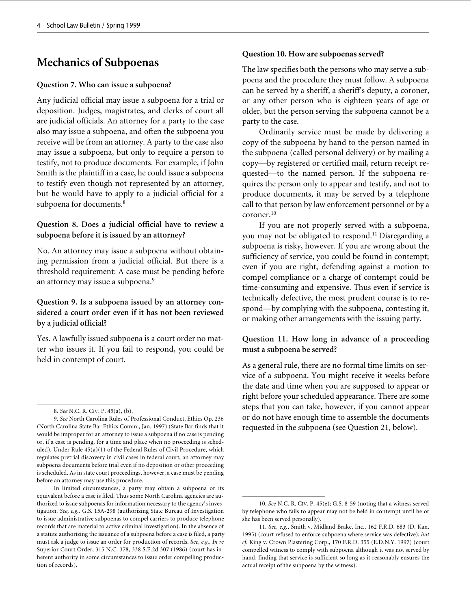# **Mechanics of Subpoenas**

### **Question 7. Who can issue a subpoena?**

Any judicial official may issue a subpoena for a trial or deposition. Judges, magistrates, and clerks of court all are judicial officials. An attorney for a party to the case also may issue a subpoena, and often the subpoena you receive will be from an attorney. A party to the case also may issue a subpoena, but only to require a person to testify, not to produce documents. For example, if John Smith is the plaintiff in a case, he could issue a subpoena to testify even though not represented by an attorney, but he would have to apply to a judicial official for a subpoena for documents.<sup>8</sup>

### **Question 8. Does a judicial official have to review a subpoena before it is issued by an attorney?**

No. An attorney may issue a subpoena without obtaining permission from a judicial official. But there is a threshold requirement: A case must be pending before an attorney may issue a subpoena.<sup>9</sup>

### **Question 9. Is a subpoena issued by an attorney considered a court order even if it has not been reviewed by a judicial official?**

Yes. A lawfully issued subpoena is a court order no matter who issues it. If you fail to respond, you could be held in contempt of court.

### **Question 10. How are subpoenas served?**

The law specifies both the persons who may serve a subpoena and the procedure they must follow. A subpoena can be served by a sheriff, a sheriff's deputy, a coroner, or any other person who is eighteen years of age or older, but the person serving the subpoena cannot be a party to the case.

Ordinarily service must be made by delivering a copy of the subpoena by hand to the person named in the subpoena (called personal delivery) or by mailing a copy—by registered or certified mail, return receipt requested—to the named person. If the subpoena requires the person only to appear and testify, and not to produce documents, it may be served by a telephone call to that person by law enforcement personnel or by a coroner.10

If you are not properly served with a subpoena, you may not be obligated to respond.<sup>11</sup> Disregarding a subpoena is risky, however. If you are wrong about the sufficiency of service, you could be found in contempt; even if you are right, defending against a motion to compel compliance or a charge of contempt could be time-consuming and expensive. Thus even if service is technically defective, the most prudent course is to respond—by complying with the subpoena, contesting it, or making other arrangements with the issuing party.

### **Question 11. How long in advance of a proceeding must a subpoena be served?**

As a general rule, there are no formal time limits on service of a subpoena. You might receive it weeks before the date and time when you are supposed to appear or right before your scheduled appearance. There are some steps that you can take, however, if you cannot appear or do not have enough time to assemble the documents requested in the subpoena (see Question 21, below).

<sup>8.</sup> *See* N.C. R. CIV. P. 45(a), (b).

<sup>9.</sup> *See* North Carolina Rules of Professional Conduct, Ethics Op. 236 (North Carolina State Bar Ethics Comm., Jan. 1997) (State Bar finds that it would be improper for an attorney to issue a subpoena if no case is pending or, if a case is pending, for a time and place when no proceeding is scheduled). Under Rule 45(a)(1) of the Federal Rules of Civil Procedure, which regulates pretrial discovery in civil cases in federal court, an attorney may subpoena documents before trial even if no deposition or other proceeding is scheduled. As in state court proceedings, however, a case must be pending before an attorney may use this procedure.

In limited circumstances, a party may obtain a subpoena or its equivalent before a case is filed. Thus some North Carolina agencies are authorized to issue subpoenas for information necessary to the agency's investigation. *See, e.g.,* G.S. 15A-298 (authorizing State Bureau of Investigation to issue administrative subpoenas to compel carriers to produce telephone records that are material to active criminal investigation). In the absence of a statute authorizing the issuance of a subpoena before a case is filed, a party must ask a judge to issue an order for production of records. *See, e.g., In re* Superior Court Order, 315 N.C. 378, 338 S.E.2d 307 (1986) (court has inherent authority in some circumstances to issue order compelling production of records).

<sup>10.</sup> *See* N.C. R. CIV. P. 45(e); G.S. 8-59 (noting that a witness served by telephone who fails to appear may not be held in contempt until he or she has been served personally).

<sup>11.</sup> *See, e.g.*, Smith v. Midland Brake, Inc., 162 F.R.D. 683 (D. Kan. 1995) (court refused to enforce subpoena where service was defective); *but cf.* King v. Crown Plastering Corp., 170 F.R.D. 355 (E.D.N.Y. 1997) (court compelled witness to comply with subpoena although it was not served by hand, finding that service is sufficient so long as it reasonably ensures the actual receipt of the subpoena by the witness).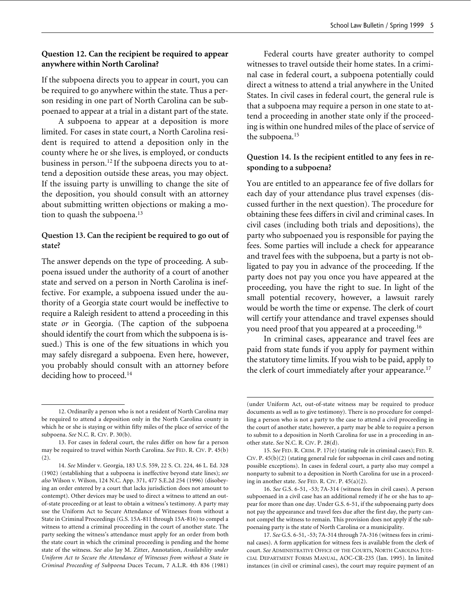### **Question 12. Can the recipient be required to appear anywhere within North Carolina?**

If the subpoena directs you to appear in court, you can be required to go anywhere within the state. Thus a person residing in one part of North Carolina can be subpoenaed to appear at a trial in a distant part of the state.

A subpoena to appear at a deposition is more limited. For cases in state court, a North Carolina resident is required to attend a deposition only in the county where he or she lives, is employed, or conducts business in person.12 If the subpoena directs you to attend a deposition outside these areas, you may object. If the issuing party is unwilling to change the site of the deposition, you should consult with an attorney about submitting written objections or making a motion to quash the subpoena.<sup>13</sup>

### **Question 13. Can the recipient be required to go out of state?**

The answer depends on the type of proceeding. A subpoena issued under the authority of a court of another state and served on a person in North Carolina is ineffective. For example, a subpoena issued under the authority of a Georgia state court would be ineffective to require a Raleigh resident to attend a proceeding in this state *or* in Georgia. (The caption of the subpoena should identify the court from which the subpoena is issued.) This is one of the few situations in which you may safely disregard a subpoena. Even here, however, you probably should consult with an attorney before deciding how to proceed.<sup>14</sup>

Federal courts have greater authority to compel witnesses to travel outside their home states. In a criminal case in federal court, a subpoena potentially could direct a witness to attend a trial anywhere in the United States. In civil cases in federal court, the general rule is that a subpoena may require a person in one state to attend a proceeding in another state only if the proceeding is within one hundred miles of the place of service of the subpoena.<sup>15</sup>

### **Question 14. Is the recipient entitled to any fees in responding to a subpoena?**

You are entitled to an appearance fee of five dollars for each day of your attendance plus travel expenses (discussed further in the next question). The procedure for obtaining these fees differs in civil and criminal cases. In civil cases (including both trials and depositions), the party who subpoenaed you is responsible for paying the fees. Some parties will include a check for appearance and travel fees with the subpoena, but a party is not obligated to pay you in advance of the proceeding. If the party does not pay you once you have appeared at the proceeding, you have the right to sue. In light of the small potential recovery, however, a lawsuit rarely would be worth the time or expense. The clerk of court will certify your attendance and travel expenses should you need proof that you appeared at a proceeding.16

In criminal cases, appearance and travel fees are paid from state funds if you apply for payment within the statutory time limits. If you wish to be paid, apply to the clerk of court immediately after your appearance.<sup>17</sup>

<sup>12.</sup> Ordinarily a person who is not a resident of North Carolina may be required to attend a deposition only in the North Carolina county in which he or she is staying or within fifty miles of the place of service of the subpoena. *See* N.C. R. CIV. P. 30(b).

<sup>13.</sup> For cases in federal court, the rules differ on how far a person may be required to travel within North Carolina. *See* FED. R. CIV. P. 45(b)  $(2).$ 

<sup>14.</sup> *See* Minder v. Georgia, 183 U.S. 559, 22 S. Ct. 224, 46 L. Ed. 328 (1902) (establishing that a subpoena is ineffective beyond state lines); *see also* Wilson v. Wilson, 124 N.C. App. 371, 477 S.E.2d 254 (1996) (disobeying an order entered by a court that lacks jurisdiction does not amount to contempt). Other devices may be used to direct a witness to attend an outof-state proceeding or at least to obtain a witness's testimony. A party may use the Uniform Act to Secure Attendance of Witnesses from without a State in Criminal Proceedings (G.S. 15A-811 through 15A-816) to compel a witness to attend a criminal proceeding in the court of another state. The party seeking the witness's attendance must apply for an order from both the state court in which the criminal proceeding is pending and the home state of the witness. *See also* Jay M. Zitter, Annotation, *Availability under Uniform Act to Secure the Attendance of Witnesses from without a State in Criminal Proceeding of Subpoena* Duces Tecum, 7 A.L.R. 4th 836 (1981)

<sup>(</sup>under Uniform Act, out-of-state witness may be required to produce documents as well as to give testimony). There is no procedure for compelling a person who is not a party to the case to attend a civil proceeding in the court of another state; however, a party may be able to require a person to submit to a deposition in North Carolina for use in a proceeding in another state. *See* N.C. R. CIV. P. 28(d).

<sup>15.</sup> *See* FED. R. CRIM. P. 17(e) (stating rule in criminal cases); FED. R. CIV. P. 45(b)(2) (stating general rule for subpoenas in civil cases and noting possible exceptions). In cases in federal court, a party also may compel a nonparty to submit to a deposition in North Carolina for use in a proceeding in another state. *See* FED. R. CIV. P. 45(a)(2).

<sup>16.</sup> *See* G.S. 6-51, -53; 7A-314 (witness fees in civil cases). A person subpoenaed in a civil case has an additional remedy if he or she has to appear for more than one day. Under G.S. 6-51, if the subpoenaing party does not pay the appearance and travel fees due after the first day, the party cannot compel the witness to remain. This provision does not apply if the subpoenaing party is the state of North Carolina or a municipality.

<sup>17.</sup> *See* G.S. 6-51, -53; 7A-314 through 7A-316 (witness fees in criminal cases). A form application for witness fees is available from the clerk of court. *See* ADMINISTRATIVE OFFICE OF THE COURTS, NORTH CAROLINA JUDI-CIAL DEPARTMENT FORMS MANUAL, AOC-CR-235 (Jan. 1995). In limited instances (in civil or criminal cases), the court may require payment of an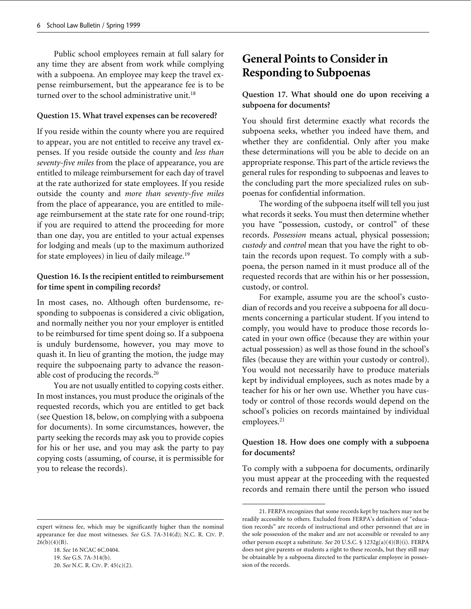Public school employees remain at full salary for any time they are absent from work while complying with a subpoena. An employee may keep the travel expense reimbursement, but the appearance fee is to be turned over to the school administrative unit. $18$ 

### **Question 15. What travel expenses can be recovered?**

If you reside within the county where you are required to appear, you are not entitled to receive any travel expenses. If you reside outside the county and *less than seventy-five miles* from the place of appearance, you are entitled to mileage reimbursement for each day of travel at the rate authorized for state employees. If you reside outside the county and *more than seventy-five miles* from the place of appearance, you are entitled to mileage reimbursement at the state rate for one round-trip; if you are required to attend the proceeding for more than one day, you are entitled to your actual expenses for lodging and meals (up to the maximum authorized for state employees) in lieu of daily mileage.19

### **Question 16. Is the recipient entitled to reimbursement for time spent in compiling records?**

In most cases, no. Although often burdensome, responding to subpoenas is considered a civic obligation, and normally neither you nor your employer is entitled to be reimbursed for time spent doing so. If a subpoena is unduly burdensome, however, you may move to quash it. In lieu of granting the motion, the judge may require the subpoenaing party to advance the reasonable cost of producing the records.20

You are not usually entitled to copying costs either. In most instances, you must produce the originals of the requested records, which you are entitled to get back (see Question 18, below, on complying with a subpoena for documents). In some circumstances, however, the party seeking the records may ask you to provide copies for his or her use, and you may ask the party to pay copying costs (assuming, of course, it is permissible for you to release the records).

#### expert witness fee, which may be significantly higher than the nominal appearance fee due most witnesses. *See* G.S. 7A-314(d); N.C. R. CIV. P.  $26(b)(4)(B)$ .

18. *See* 16 NCAC 6C.0404. 19. *See* G.S. 7A-314(b). 20. *See* N.C. R. CIV. P. 45(c)(2).

## **General Points to Consider in Responding to Subpoenas**

### **Question 17. What should one do upon receiving a subpoena for documents?**

You should first determine exactly what records the subpoena seeks, whether you indeed have them, and whether they are confidential. Only after you make these determinations will you be able to decide on an appropriate response. This part of the article reviews the general rules for responding to subpoenas and leaves to the concluding part the more specialized rules on subpoenas for confidential information.

The wording of the subpoena itself will tell you just what records it seeks. You must then determine whether you have "possession, custody, or control" of these records. *Possession* means actual, physical possession; *custody* and *control* mean that you have the right to obtain the records upon request. To comply with a subpoena, the person named in it must produce all of the requested records that are within his or her possession, custody, or control.

For example, assume you are the school's custodian of records and you receive a subpoena for all documents concerning a particular student. If you intend to comply, you would have to produce those records located in your own office (because they are within your actual possession) as well as those found in the school's files (because they are within your custody or control). You would not necessarily have to produce materials kept by individual employees, such as notes made by a teacher for his or her own use. Whether you have custody or control of those records would depend on the school's policies on records maintained by individual employees.<sup>21</sup>

### **Question 18. How does one comply with a subpoena for documents?**

To comply with a subpoena for documents, ordinarily you must appear at the proceeding with the requested records and remain there until the person who issued

<sup>21.</sup> FERPA recognizes that some records kept by teachers may not be readily accessible to others. Excluded from FERPA's definition of "education records" are records of instructional and other personnel that are in the sole possession of the maker and are not accessible or revealed to any other person except a substitute. *See* 20 U.S.C. § 1232g(a)(4)(B)(i). FERPA does not give parents or students a right to these records, but they still may be obtainable by a subpoena directed to the particular employee in possession of the records.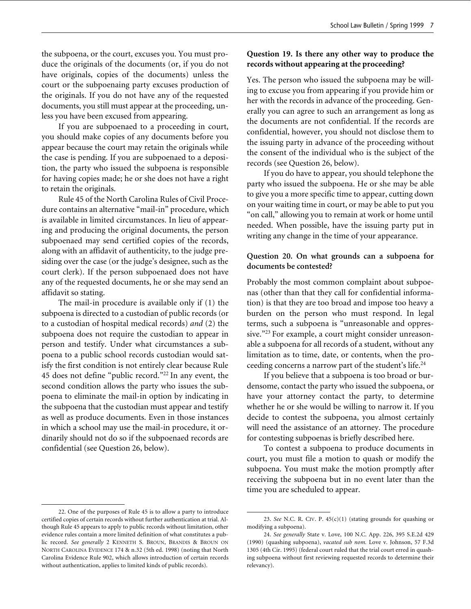the subpoena, or the court, excuses you. You must produce the originals of the documents (or, if you do not have originals, copies of the documents) unless the court or the subpoenaing party excuses production of the originals. If you do not have any of the requested documents, you still must appear at the proceeding, unless you have been excused from appearing.

If you are subpoenaed to a proceeding in court, you should make copies of any documents before you appear because the court may retain the originals while the case is pending. If you are subpoenaed to a deposition, the party who issued the subpoena is responsible for having copies made; he or she does not have a right to retain the originals.

Rule 45 of the North Carolina Rules of Civil Procedure contains an alternative "mail-in" procedure, which is available in limited circumstances. In lieu of appearing and producing the original documents, the person subpoenaed may send certified copies of the records, along with an affidavit of authenticity, to the judge presiding over the case (or the judge's designee, such as the court clerk). If the person subpoenaed does not have any of the requested documents, he or she may send an affidavit so stating.

The mail-in procedure is available only if (1) the subpoena is directed to a custodian of public records (or to a custodian of hospital medical records) *and* (2) the subpoena does not require the custodian to appear in person and testify. Under what circumstances a subpoena to a public school records custodian would satisfy the first condition is not entirely clear because Rule 45 does not define "public record."22 In any event, the second condition allows the party who issues the subpoena to eliminate the mail-in option by indicating in the subpoena that the custodian must appear and testify as well as produce documents. Even in those instances in which a school may use the mail-in procedure, it ordinarily should not do so if the subpoenaed records are confidential (see Question 26, below).

### **Question 19. Is there any other way to produce the records without appearing at the proceeding?**

Yes. The person who issued the subpoena may be willing to excuse you from appearing if you provide him or her with the records in advance of the proceeding. Generally you can agree to such an arrangement as long as the documents are not confidential. If the records are confidential, however, you should not disclose them to the issuing party in advance of the proceeding without the consent of the individual who is the subject of the records (see Question 26, below).

If you do have to appear, you should telephone the party who issued the subpoena. He or she may be able to give you a more specific time to appear, cutting down on your waiting time in court, or may be able to put you "on call," allowing you to remain at work or home until needed. When possible, have the issuing party put in writing any change in the time of your appearance.

### **Question 20. On what grounds can a subpoena for documents be contested?**

Probably the most common complaint about subpoenas (other than that they call for confidential information) is that they are too broad and impose too heavy a burden on the person who must respond. In legal terms, such a subpoena is "unreasonable and oppressive."<sup>23</sup> For example, a court might consider unreasonable a subpoena for all records of a student, without any limitation as to time, date, or contents, when the proceeding concerns a narrow part of the student's life.24

If you believe that a subpoena is too broad or burdensome, contact the party who issued the subpoena, or have your attorney contact the party, to determine whether he or she would be willing to narrow it. If you decide to contest the subpoena, you almost certainly will need the assistance of an attorney. The procedure for contesting subpoenas is briefly described here.

To contest a subpoena to produce documents in court, you must file a motion to quash or modify the subpoena. You must make the motion promptly after receiving the subpoena but in no event later than the time you are scheduled to appear.

<sup>22.</sup> One of the purposes of Rule 45 is to allow a party to introduce certified copies of certain records without further authentication at trial. Although Rule 45 appears to apply to public records without limitation, other evidence rules contain a more limited definition of what constitutes a public record. *See generally* 2 KENNETH S. BROUN, BRANDIS & BROUN ON NORTH CAROLINA EVIDENCE 174 & n.32 (5th ed. 1998) (noting that North Carolina Evidence Rule 902, which allows introduction of certain records without authentication, applies to limited kinds of public records).

<sup>23.</sup> *See* N.C. R. CIV. P. 45(c)(1) (stating grounds for quashing or modifying a subpoena).

<sup>24.</sup> *See generally* State v. Love, 100 N.C. App. 226, 395 S.E.2d 429 (1990) (quashing subpoena), *vacated sub nom.* Love v. Johnson, 57 F.3d 1305 (4th Cir. 1995) (federal court ruled that the trial court erred in quashing subpoena without first reviewing requested records to determine their relevancy).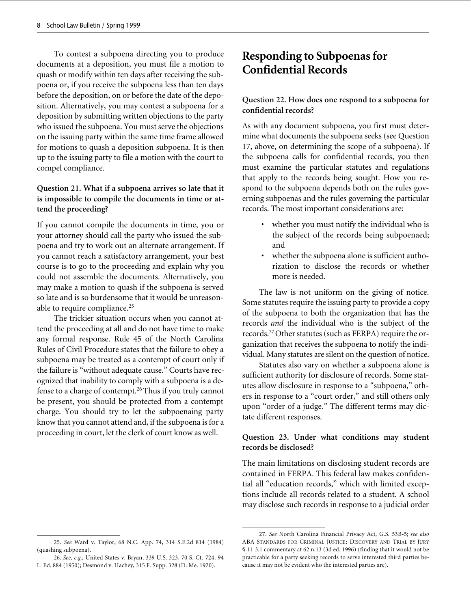To contest a subpoena directing you to produce documents at a deposition, you must file a motion to quash or modify within ten days after receiving the subpoena or, if you receive the subpoena less than ten days before the deposition, on or before the date of the deposition. Alternatively, you may contest a subpoena for a deposition by submitting written objections to the party who issued the subpoena. You must serve the objections on the issuing party within the same time frame allowed for motions to quash a deposition subpoena. It is then up to the issuing party to file a motion with the court to compel compliance.

### **Question 21. What if a subpoena arrives so late that it is impossible to compile the documents in time or attend the proceeding?**

If you cannot compile the documents in time, you or your attorney should call the party who issued the subpoena and try to work out an alternate arrangement. If you cannot reach a satisfactory arrangement, your best course is to go to the proceeding and explain why you could not assemble the documents. Alternatively, you may make a motion to quash if the subpoena is served so late and is so burdensome that it would be unreasonable to require compliance.<sup>25</sup>

The trickier situation occurs when you cannot attend the proceeding at all and do not have time to make any formal response. Rule 45 of the North Carolina Rules of Civil Procedure states that the failure to obey a subpoena may be treated as a contempt of court only if the failure is "without adequate cause." Courts have recognized that inability to comply with a subpoena is a defense to a charge of contempt.26 Thus if you truly cannot be present, you should be protected from a contempt charge. You should try to let the subpoenaing party know that you cannot attend and, if the subpoena is for a proceeding in court, let the clerk of court know as well.

# **Responding to Subpoenas for Confidential Records**

### **Question 22. How does one respond to a subpoena for confidential records?**

As with any document subpoena, you first must determine what documents the subpoena seeks (see Question 17, above, on determining the scope of a subpoena). If the subpoena calls for confidential records, you then must examine the particular statutes and regulations that apply to the records being sought. How you respond to the subpoena depends both on the rules governing subpoenas and the rules governing the particular records. The most important considerations are:

- whether you must notify the individual who is the subject of the records being subpoenaed; and
- whether the subpoena alone is sufficient authorization to disclose the records or whether more is needed.

The law is not uniform on the giving of notice. Some statutes require the issuing party to provide a copy of the subpoena to both the organization that has the records *and* the individual who is the subject of the records.27 Other statutes (such as FERPA) require the organization that receives the subpoena to notify the individual. Many statutes are silent on the question of notice.

Statutes also vary on whether a subpoena alone is sufficient authority for disclosure of records. Some statutes allow disclosure in response to a "subpoena," others in response to a "court order," and still others only upon "order of a judge." The different terms may dictate different responses.

### **Question 23. Under what conditions may student records be disclosed?**

The main limitations on disclosing student records are contained in FERPA. This federal law makes confidential all "education records," which with limited exceptions include all records related to a student. A school may disclose such records in response to a judicial order

<sup>25.</sup> *See* Ward v. Taylor, 68 N.C. App. 74, 314 S.E.2d 814 (1984) (quashing subpoena).

<sup>26.</sup> *See, e.g.,* United States v. Bryan, 339 U.S. 323, 70 S. Ct. 724, 94 L. Ed. 884 (1950); Desmond v. Hachey, 315 F. Supp. 328 (D. Me. 1970).

<sup>27.</sup> *See* North Carolina Financial Privacy Act, G.S. 53B-5; *see also* ABA STANDARDS FOR CRIMINAL JUSTICE: DISCOVERY AND TRIAL BY JURY § 11-3.1 commentary at 62 n.13 (3d ed. 1996) (finding that it would not be practicable for a party seeking records to serve interested third parties because it may not be evident who the interested parties are).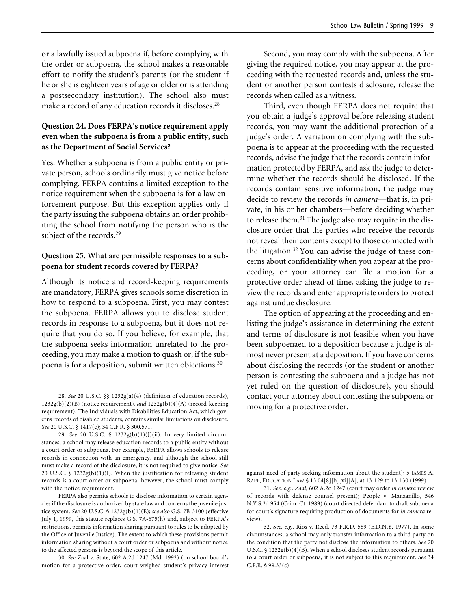or a lawfully issued subpoena if, before complying with the order or subpoena, the school makes a reasonable effort to notify the student's parents (or the student if he or she is eighteen years of age or older or is attending a postsecondary institution). The school also must make a record of any education records it discloses.<sup>28</sup>

### **Question 24. Does FERPA's notice requirement apply even when the subpoena is from a public entity, such as the Department of Social Services?**

Yes. Whether a subpoena is from a public entity or private person, schools ordinarily must give notice before complying. FERPA contains a limited exception to the notice requirement when the subpoena is for a law enforcement purpose. But this exception applies only if the party issuing the subpoena obtains an order prohibiting the school from notifying the person who is the subject of the records.<sup>29</sup>

### **Question 25. What are permissible responses to a subpoena for student records covered by FERPA?**

Although its notice and record-keeping requirements are mandatory, FERPA gives schools some discretion in how to respond to a subpoena. First, you may contest the subpoena. FERPA allows you to disclose student records in response to a subpoena, but it does not require that you do so. If you believe, for example, that the subpoena seeks information unrelated to the proceeding, you may make a motion to quash or, if the subpoena is for a deposition, submit written objections.30

Second, you may comply with the subpoena. After giving the required notice, you may appear at the proceeding with the requested records and, unless the student or another person contests disclosure, release the records when called as a witness.

Third, even though FERPA does not require that you obtain a judge's approval before releasing student records, you may want the additional protection of a judge's order. A variation on complying with the subpoena is to appear at the proceeding with the requested records, advise the judge that the records contain information protected by FERPA, and ask the judge to determine whether the records should be disclosed. If the records contain sensitive information, the judge may decide to review the records *in camera*—that is, in private, in his or her chambers—before deciding whether to release them.31 The judge also may require in the disclosure order that the parties who receive the records not reveal their contents except to those connected with the litigation.<sup>32</sup> You can advise the judge of these concerns about confidentiality when you appear at the proceeding, or your attorney can file a motion for a protective order ahead of time, asking the judge to review the records and enter appropriate orders to protect against undue disclosure.

The option of appearing at the proceeding and enlisting the judge's assistance in determining the extent and terms of disclosure is not feasible when you have been subpoenaed to a deposition because a judge is almost never present at a deposition. If you have concerns about disclosing the records (or the student or another person is contesting the subpoena and a judge has not yet ruled on the question of disclosure), you should contact your attorney about contesting the subpoena or moving for a protective order.

<sup>28.</sup> *See* 20 U.S.C. §§ 1232g(a)(4) (definition of education records), 1232g(b)(2)(B) (notice requirement), *and* 1232g(b)(4)(A) (record-keeping requirement). The Individuals with Disabilities Education Act, which governs records of disabled students, contains similar limitations on disclosure. *See* 20 U.S.C. § 1417(c); 34 C.F.R. § 300.571.

<sup>29.</sup> *See* 20 U.S.C. § 1232g(b)(1)(J)(ii). In very limited circumstances, a school may release education records to a public entity without a court order or subpoena. For example, FERPA allows schools to release records in connection with an emergency, and although the school still must make a record of the disclosure, it is not required to give notice. *See* 20 U.S.C. § 1232g(b)(1)(I). When the justification for releasing student records is a court order or subpoena, however, the school must comply with the notice requirement.

FERPA also permits schools to disclose information to certain agencies if the disclosure is authorized by state law and concerns the juvenile justice system. *See* 20 U.S.C. § 1232g(b)(1)(E); *see also* G.S. 7B-3100 (effective July 1, 1999, this statute replaces G.S. 7A-675(h) and, subject to FERPA's restrictions, permits information sharing pursuant to rules to be adopted by the Office of Juvenile Justice). The extent to which these provisions permit information sharing without a court order or subpoena and without notice to the affected persons is beyond the scope of this article.

<sup>30.</sup> *See* Zaal v. State, 602 A.2d 1247 (Md. 1992) (on school board's motion for a protective order, court weighed student's privacy interest

against need of party seeking information about the student); 5 JAMES A. RAPP, EDUCATION LAW § 13.04[8][b][xi][A], at 13-129 to 13-130 (1999).

<sup>31.</sup> *See, e.g., Zaal*, 602 A.2d 1247 (court may order *in camera* review of records with defense counsel present); People v. Manzanillo, 546 N.Y.S.2d 954 (Crim. Ct. 1989) (court directed defendant to draft subpoena for court's signature requiring production of documents for *in camera* review)

<sup>32.</sup> *See, e.g.,* Rios v. Reed, 73 F.R.D. 589 (E.D.N.Y. 1977). In some circumstances, a school may only transfer information to a third party on the condition that the party not disclose the information to others. *See* 20 U.S.C. § 1232g(b)(4)(B). When a school discloses student records pursuant to a court order or subpoena, it is not subject to this requirement. *See* 34 C.F.R. § 99.33(c).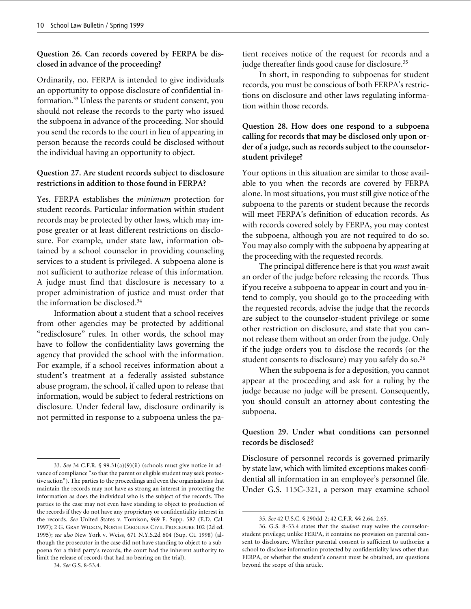### **Question 26. Can records covered by FERPA be disclosed in advance of the proceeding?**

Ordinarily, no. FERPA is intended to give individuals an opportunity to oppose disclosure of confidential information.33 Unless the parents or student consent, you should not release the records to the party who issued the subpoena in advance of the proceeding. Nor should you send the records to the court in lieu of appearing in person because the records could be disclosed without the individual having an opportunity to object.

### **Question 27. Are student records subject to disclosure restrictions in addition to those found in FERPA?**

Yes. FERPA establishes the *minimum* protection for student records. Particular information within student records may be protected by other laws, which may impose greater or at least different restrictions on disclosure. For example, under state law, information obtained by a school counselor in providing counseling services to a student is privileged. A subpoena alone is not sufficient to authorize release of this information. A judge must find that disclosure is necessary to a proper administration of justice and must order that the information be disclosed.34

Information about a student that a school receives from other agencies may be protected by additional "redisclosure" rules. In other words, the school may have to follow the confidentiality laws governing the agency that provided the school with the information. For example, if a school receives information about a student's treatment at a federally assisted substance abuse program, the school, if called upon to release that information, would be subject to federal restrictions on disclosure. Under federal law, disclosure ordinarily is not permitted in response to a subpoena unless the pa-

```
34. See G.S. 8-53.4.
```
tient receives notice of the request for records and a judge thereafter finds good cause for disclosure.<sup>35</sup>

In short, in responding to subpoenas for student records, you must be conscious of both FERPA's restrictions on disclosure and other laws regulating information within those records.

### **Question 28. How does one respond to a subpoena calling for records that may be disclosed only upon order of a judge, such as records subject to the counselorstudent privilege?**

Your options in this situation are similar to those available to you when the records are covered by FERPA alone. In most situations, you must still give notice of the subpoena to the parents or student because the records will meet FERPA's definition of education records. As with records covered solely by FERPA, you may contest the subpoena, although you are not required to do so. You may also comply with the subpoena by appearing at the proceeding with the requested records.

The principal difference here is that you *must* await an order of the judge before releasing the records. Thus if you receive a subpoena to appear in court and you intend to comply, you should go to the proceeding with the requested records, advise the judge that the records are subject to the counselor-student privilege or some other restriction on disclosure, and state that you cannot release them without an order from the judge. Only if the judge orders you to disclose the records (or the student consents to disclosure) may you safely do so.<sup>36</sup>

When the subpoena is for a deposition, you cannot appear at the proceeding and ask for a ruling by the judge because no judge will be present. Consequently, you should consult an attorney about contesting the subpoena.

### **Question 29. Under what conditions can personnel records be disclosed?**

Disclosure of personnel records is governed primarily by state law, which with limited exceptions makes confidential all information in an employee's personnel file. Under G.S. 115C-321, a person may examine school

<sup>33.</sup> *See* 34 C.F.R. § 99.31(a)(9)(ii) (schools must give notice in advance of compliance "so that the parent or eligible student may seek protective action"). The parties to the proceedings and even the organizations that maintain the records may not have as strong an interest in protecting the information as does the individual who is the subject of the records. The parties to the case may not even have standing to object to production of the records if they do not have any proprietary or confidentiality interest in the records. *See* United States v. Tomison, 969 F. Supp. 587 (E.D. Cal. 1997); 2 G. GRAY WILSON, NORTH CAROLINA CIVIL PROCEDURE 102 (2d ed. 1995); *see also* New York v. Weiss, 671 N.Y.S.2d 604 (Sup. Ct. 1998) (although the prosecutor in the case did not have standing to object to a subpoena for a third party's records, the court had the inherent authority to limit the release of records that had no bearing on the trial).

<sup>35.</sup> *See* 42 U.S.C. § 290dd-2; 42 C.F.R. §§ 2.64, 2.65.

<sup>36.</sup> G.S. 8-53.4 states that the *student* may waive the counselorstudent privilege; unlike FERPA, it contains no provision on parental consent to disclosure. Whether parental consent is sufficient to authorize a school to disclose information protected by confidentiality laws other than FERPA, or whether the student's consent must be obtained, are questions beyond the scope of this article.